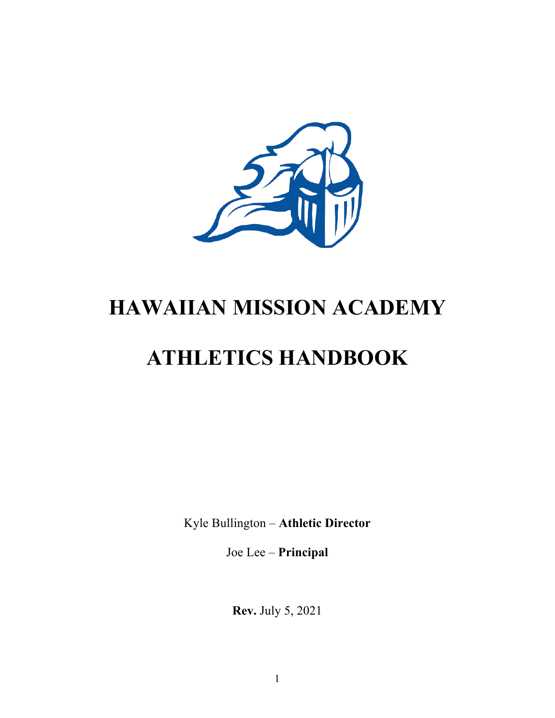

# **HAWAIIAN MISSION ACADEMY**

# **ATHLETICS HANDBOOK**

Kyle Bullington – **Athletic Director**

Joe Lee – **Principal**

**Rev.** July 5, 2021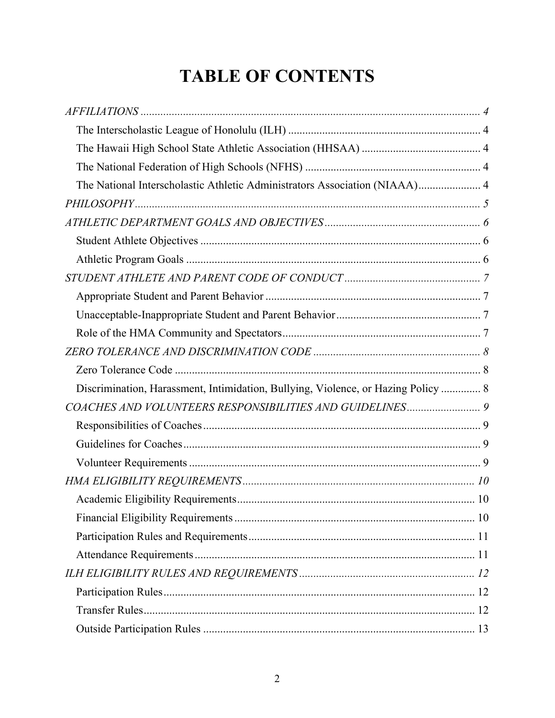### **TABLE OF CONTENTS**

| The National Interscholastic Athletic Administrators Association (NIAAA) 4        |  |
|-----------------------------------------------------------------------------------|--|
|                                                                                   |  |
|                                                                                   |  |
|                                                                                   |  |
|                                                                                   |  |
|                                                                                   |  |
|                                                                                   |  |
|                                                                                   |  |
|                                                                                   |  |
|                                                                                   |  |
|                                                                                   |  |
| Discrimination, Harassment, Intimidation, Bullying, Violence, or Hazing Policy  8 |  |
|                                                                                   |  |
|                                                                                   |  |
|                                                                                   |  |
|                                                                                   |  |
|                                                                                   |  |
|                                                                                   |  |
|                                                                                   |  |
|                                                                                   |  |
|                                                                                   |  |
|                                                                                   |  |
|                                                                                   |  |
|                                                                                   |  |
|                                                                                   |  |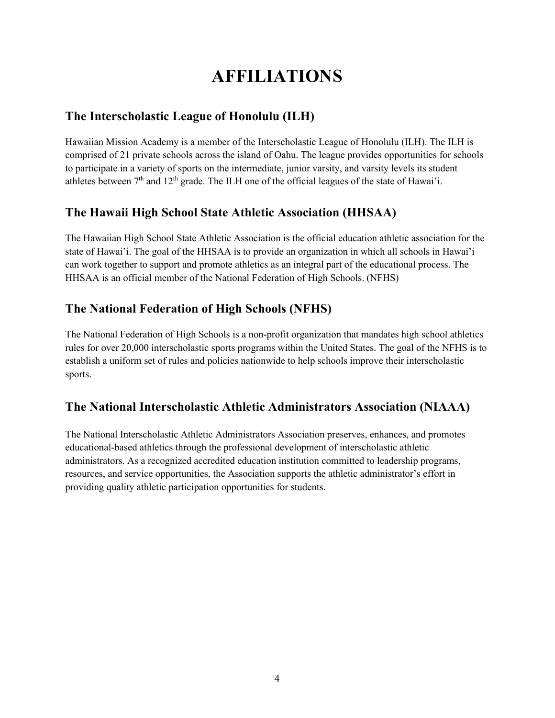### **AFFILIATIONS**

### **The Interscholastic League of Honolulu (ILH)**

Hawaiian Mission Academy is a member of the Interscholastic League of Honolulu (ILH). The ILH is comprised of 21 private schools across the island of Oahu. The league provides opportunities for schools to participate in a variety of sports on the intermediate, junior varsity, and varsity levels its student athletes between  $7<sup>th</sup>$  and  $12<sup>th</sup>$  grade. The ILH one of the official leagues of the state of Hawai'i.

### **The Hawaii High School State Athletic Association (HHSAA)**

The Hawaiian High School State Athletic Association is the official education athletic association for the state of Hawai'i. The goal of the HHSAA is to provide an organization in which all schools in Hawai'i can work together to support and promote athletics as an integral part of the educational process. The HHSAA is an official member of the National Federation of High Schools. (NFHS)

### **The National Federation of High Schools (NFHS)**

The National Federation of High Schools is a non-profit organization that mandates high school athletics rules for over 20,000 interscholastic sports programs within the United States. The goal of the NFHS is to establish a uniform set of rules and policies nationwide to help schools improve their interscholastic sports.

### **The National Interscholastic Athletic Administrators Association (NIAAA)**

The National Interscholastic Athletic Administrators Association preserves, enhances, and promotes educational-based athletics through the professional development of interscholastic athletic administrators. As a recognized accredited education institution committed to leadership programs, resources, and service opportunities, the Association supports the athletic administrator's effort in providing quality athletic participation opportunities for students.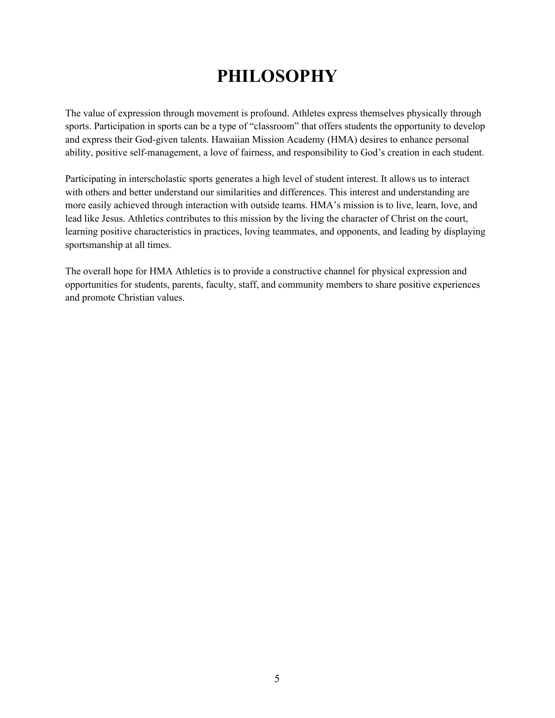### **PHILOSOPHY**

The value of expression through movement is profound. Athletes express themselves physically through sports. Participation in sports can be a type of "classroom" that offers students the opportunity to develop and express their God-given talents. Hawaiian Mission Academy (HMA) desires to enhance personal ability, positive self-management, a love of fairness, and responsibility to God's creation in each student.

Participating in interscholastic sports generates a high level of student interest. It allows us to interact with others and better understand our similarities and differences. This interest and understanding are more easily achieved through interaction with outside teams. HMA's mission is to live, learn, love, and lead like Jesus. Athletics contributes to this mission by the living the character of Christ on the court, learning positive characteristics in practices, loving teammates, and opponents, and leading by displaying sportsmanship at all times.

The overall hope for HMA Athletics is to provide a constructive channel for physical expression and opportunities for students, parents, faculty, staff, and community members to share positive experiences and promote Christian values.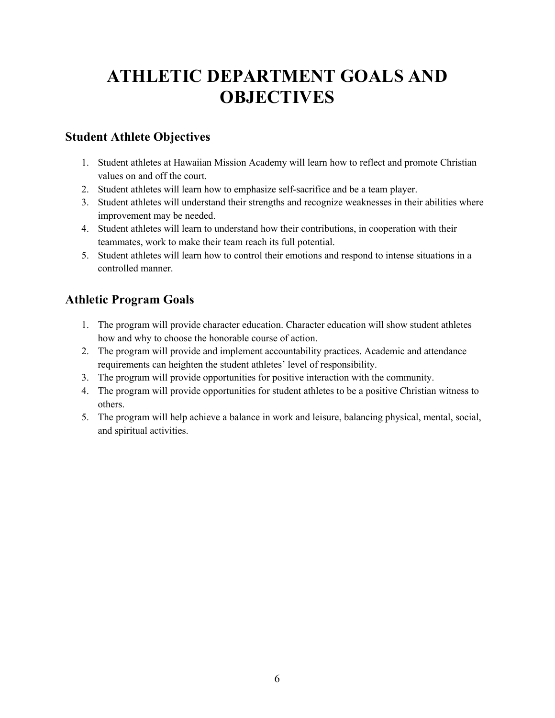### **ATHLETIC DEPARTMENT GOALS AND OBJECTIVES**

### **Student Athlete Objectives**

- 1. Student athletes at Hawaiian Mission Academy will learn how to reflect and promote Christian values on and off the court.
- 2. Student athletes will learn how to emphasize self-sacrifice and be a team player.
- 3. Student athletes will understand their strengths and recognize weaknesses in their abilities where improvement may be needed.
- 4. Student athletes will learn to understand how their contributions, in cooperation with their teammates, work to make their team reach its full potential.
- 5. Student athletes will learn how to control their emotions and respond to intense situations in a controlled manner.

### **Athletic Program Goals**

- 1. The program will provide character education. Character education will show student athletes how and why to choose the honorable course of action.
- 2. The program will provide and implement accountability practices. Academic and attendance requirements can heighten the student athletes' level of responsibility.
- 3. The program will provide opportunities for positive interaction with the community.
- 4. The program will provide opportunities for student athletes to be a positive Christian witness to others.
- 5. The program will help achieve a balance in work and leisure, balancing physical, mental, social, and spiritual activities.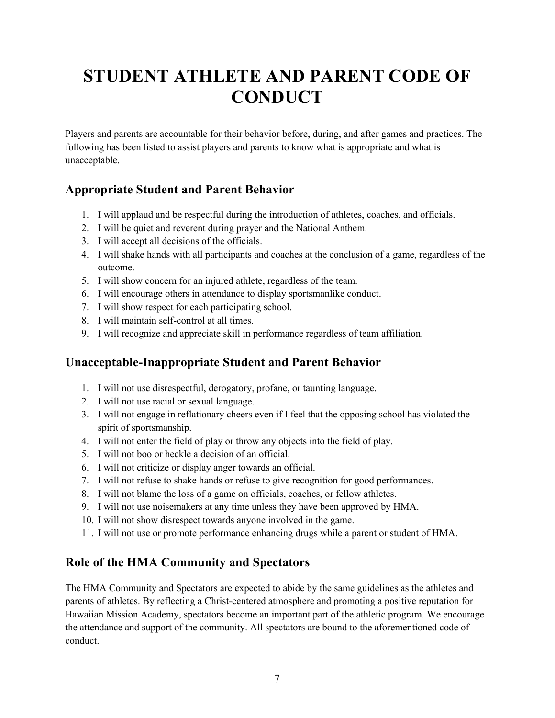# **STUDENT ATHLETE AND PARENT CODE OF CONDUCT**

Players and parents are accountable for their behavior before, during, and after games and practices. The following has been listed to assist players and parents to know what is appropriate and what is unacceptable.

### **Appropriate Student and Parent Behavior**

- 1. I will applaud and be respectful during the introduction of athletes, coaches, and officials.
- 2. I will be quiet and reverent during prayer and the National Anthem.
- 3. I will accept all decisions of the officials.
- 4. I will shake hands with all participants and coaches at the conclusion of a game, regardless of the outcome.
- 5. I will show concern for an injured athlete, regardless of the team.
- 6. I will encourage others in attendance to display sportsmanlike conduct.
- 7. I will show respect for each participating school.
- 8. I will maintain self-control at all times.
- 9. I will recognize and appreciate skill in performance regardless of team affiliation.

### **Unacceptable-Inappropriate Student and Parent Behavior**

- 1. I will not use disrespectful, derogatory, profane, or taunting language.
- 2. I will not use racial or sexual language.
- 3. I will not engage in reflationary cheers even if I feel that the opposing school has violated the spirit of sportsmanship.
- 4. I will not enter the field of play or throw any objects into the field of play.
- 5. I will not boo or heckle a decision of an official.
- 6. I will not criticize or display anger towards an official.
- 7. I will not refuse to shake hands or refuse to give recognition for good performances.
- 8. I will not blame the loss of a game on officials, coaches, or fellow athletes.
- 9. I will not use noisemakers at any time unless they have been approved by HMA.
- 10. I will not show disrespect towards anyone involved in the game.
- 11. I will not use or promote performance enhancing drugs while a parent or student of HMA.

### **Role of the HMA Community and Spectators**

The HMA Community and Spectators are expected to abide by the same guidelines as the athletes and parents of athletes. By reflecting a Christ-centered atmosphere and promoting a positive reputation for Hawaiian Mission Academy, spectators become an important part of the athletic program. We encourage the attendance and support of the community. All spectators are bound to the aforementioned code of conduct.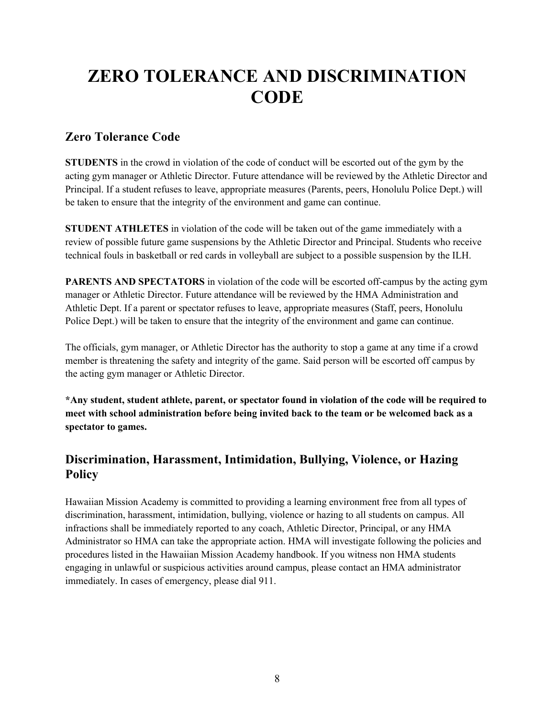### **ZERO TOLERANCE AND DISCRIMINATION CODE**

#### **Zero Tolerance Code**

**STUDENTS** in the crowd in violation of the code of conduct will be escorted out of the gym by the acting gym manager or Athletic Director. Future attendance will be reviewed by the Athletic Director and Principal. If a student refuses to leave, appropriate measures (Parents, peers, Honolulu Police Dept.) will be taken to ensure that the integrity of the environment and game can continue.

**STUDENT ATHLETES** in violation of the code will be taken out of the game immediately with a review of possible future game suspensions by the Athletic Director and Principal. Students who receive technical fouls in basketball or red cards in volleyball are subject to a possible suspension by the ILH.

**PARENTS AND SPECTATORS** in violation of the code will be escorted off-campus by the acting gym manager or Athletic Director. Future attendance will be reviewed by the HMA Administration and Athletic Dept. If a parent or spectator refuses to leave, appropriate measures (Staff, peers, Honolulu Police Dept.) will be taken to ensure that the integrity of the environment and game can continue.

The officials, gym manager, or Athletic Director has the authority to stop a game at any time if a crowd member is threatening the safety and integrity of the game. Said person will be escorted off campus by the acting gym manager or Athletic Director.

**\*Any student, student athlete, parent, or spectator found in violation of the code will be required to meet with school administration before being invited back to the team or be welcomed back as a spectator to games.**

### **Discrimination, Harassment, Intimidation, Bullying, Violence, or Hazing Policy**

Hawaiian Mission Academy is committed to providing a learning environment free from all types of discrimination, harassment, intimidation, bullying, violence or hazing to all students on campus. All infractions shall be immediately reported to any coach, Athletic Director, Principal, or any HMA Administrator so HMA can take the appropriate action. HMA will investigate following the policies and procedures listed in the Hawaiian Mission Academy handbook. If you witness non HMA students engaging in unlawful or suspicious activities around campus, please contact an HMA administrator immediately. In cases of emergency, please dial 911.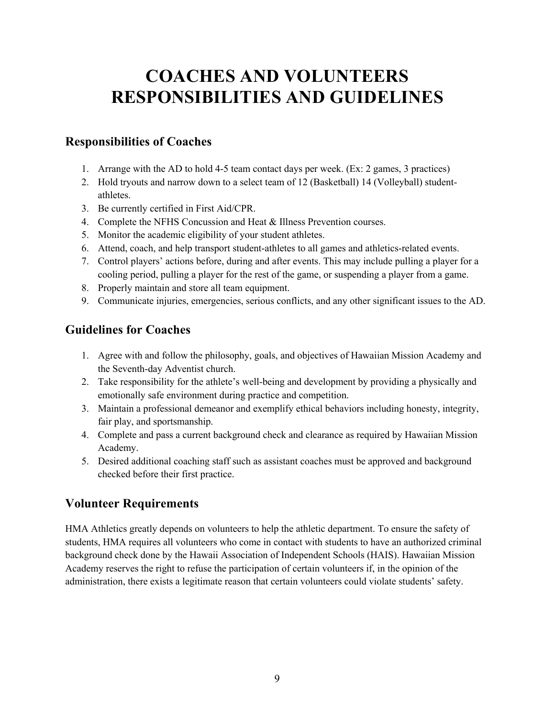### **COACHES AND VOLUNTEERS RESPONSIBILITIES AND GUIDELINES**

### **Responsibilities of Coaches**

- 1. Arrange with the AD to hold 4-5 team contact days per week. (Ex: 2 games, 3 practices)
- 2. Hold tryouts and narrow down to a select team of 12 (Basketball) 14 (Volleyball) studentathletes.
- 3. Be currently certified in First Aid/CPR.
- 4. Complete the NFHS Concussion and Heat & Illness Prevention courses.
- 5. Monitor the academic eligibility of your student athletes.
- 6. Attend, coach, and help transport student-athletes to all games and athletics-related events.
- 7. Control players' actions before, during and after events. This may include pulling a player for a cooling period, pulling a player for the rest of the game, or suspending a player from a game.
- 8. Properly maintain and store all team equipment.
- 9. Communicate injuries, emergencies, serious conflicts, and any other significant issues to the AD.

### **Guidelines for Coaches**

- 1. Agree with and follow the philosophy, goals, and objectives of Hawaiian Mission Academy and the Seventh-day Adventist church.
- 2. Take responsibility for the athlete's well-being and development by providing a physically and emotionally safe environment during practice and competition.
- 3. Maintain a professional demeanor and exemplify ethical behaviors including honesty, integrity, fair play, and sportsmanship.
- 4. Complete and pass a current background check and clearance as required by Hawaiian Mission Academy.
- 5. Desired additional coaching staff such as assistant coaches must be approved and background checked before their first practice.

### **Volunteer Requirements**

HMA Athletics greatly depends on volunteers to help the athletic department. To ensure the safety of students, HMA requires all volunteers who come in contact with students to have an authorized criminal background check done by the Hawaii Association of Independent Schools (HAIS). Hawaiian Mission Academy reserves the right to refuse the participation of certain volunteers if, in the opinion of the administration, there exists a legitimate reason that certain volunteers could violate students' safety.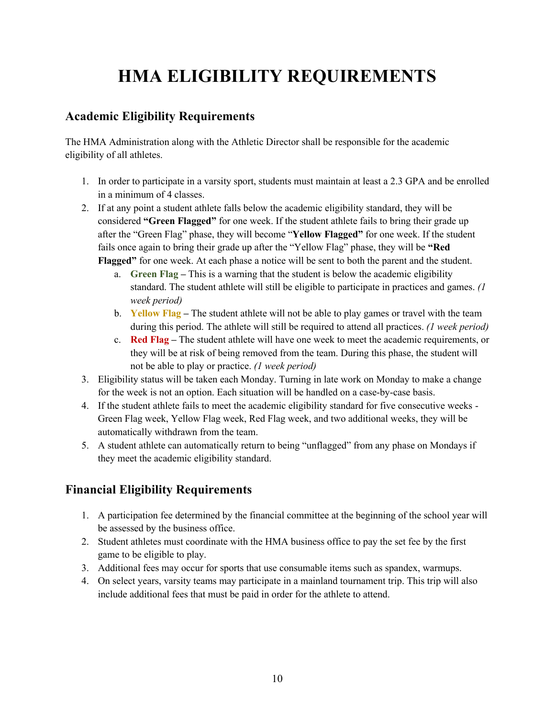# **HMA ELIGIBILITY REQUIREMENTS**

### **Academic Eligibility Requirements**

The HMA Administration along with the Athletic Director shall be responsible for the academic eligibility of all athletes.

- 1. In order to participate in a varsity sport, students must maintain at least a 2.3 GPA and be enrolled in a minimum of 4 classes.
- 2. If at any point a student athlete falls below the academic eligibility standard, they will be considered **"Green Flagged"** for one week. If the student athlete fails to bring their grade up after the "Green Flag" phase, they will become "**Yellow Flagged"** for one week. If the student fails once again to bring their grade up after the "Yellow Flag" phase, they will be **"Red Flagged"** for one week. At each phase a notice will be sent to both the parent and the student.
	- a. **Green Flag –** This is a warning that the student is below the academic eligibility standard. The student athlete will still be eligible to participate in practices and games. *(1 week period)*
	- b. **Yellow Flag –** The student athlete will not be able to play games or travel with the team during this period. The athlete will still be required to attend all practices. *(1 week period)*
	- c. **Red Flag –** The student athlete will have one week to meet the academic requirements, or they will be at risk of being removed from the team. During this phase, the student will not be able to play or practice. *(1 week period)*
- 3. Eligibility status will be taken each Monday. Turning in late work on Monday to make a change for the week is not an option. Each situation will be handled on a case-by-case basis.
- 4. If the student athlete fails to meet the academic eligibility standard for five consecutive weeks Green Flag week, Yellow Flag week, Red Flag week, and two additional weeks, they will be automatically withdrawn from the team.
- 5. A student athlete can automatically return to being "unflagged" from any phase on Mondays if they meet the academic eligibility standard.

### **Financial Eligibility Requirements**

- 1. A participation fee determined by the financial committee at the beginning of the school year will be assessed by the business office.
- 2. Student athletes must coordinate with the HMA business office to pay the set fee by the first game to be eligible to play.
- 3. Additional fees may occur for sports that use consumable items such as spandex, warmups.
- 4. On select years, varsity teams may participate in a mainland tournament trip. This trip will also include additional fees that must be paid in order for the athlete to attend.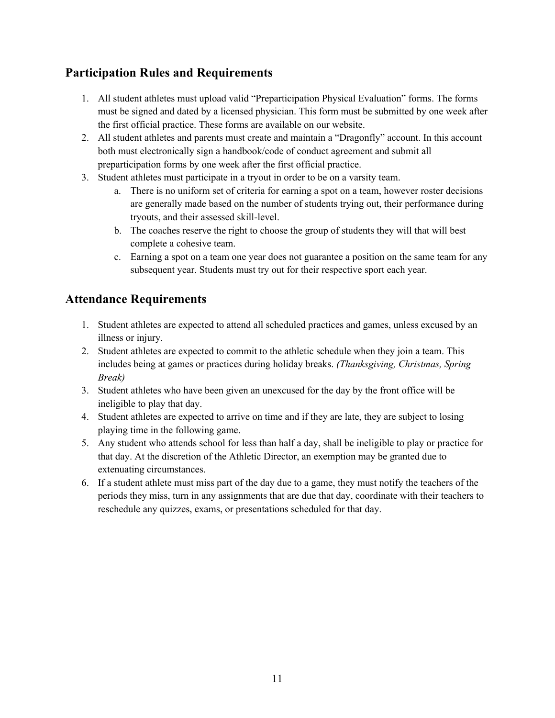### **Participation Rules and Requirements**

- 1. All student athletes must upload valid "Preparticipation Physical Evaluation" forms. The forms must be signed and dated by a licensed physician. This form must be submitted by one week after the first official practice. These forms are available on our website.
- 2. All student athletes and parents must create and maintain a "Dragonfly" account. In this account both must electronically sign a handbook/code of conduct agreement and submit all preparticipation forms by one week after the first official practice.
- 3. Student athletes must participate in a tryout in order to be on a varsity team.
	- a. There is no uniform set of criteria for earning a spot on a team, however roster decisions are generally made based on the number of students trying out, their performance during tryouts, and their assessed skill-level.
	- b. The coaches reserve the right to choose the group of students they will that will best complete a cohesive team.
	- c. Earning a spot on a team one year does not guarantee a position on the same team for any subsequent year. Students must try out for their respective sport each year.

### **Attendance Requirements**

- 1. Student athletes are expected to attend all scheduled practices and games, unless excused by an illness or injury.
- 2. Student athletes are expected to commit to the athletic schedule when they join a team. This includes being at games or practices during holiday breaks. *(Thanksgiving, Christmas, Spring Break)*
- 3. Student athletes who have been given an unexcused for the day by the front office will be ineligible to play that day.
- 4. Student athletes are expected to arrive on time and if they are late, they are subject to losing playing time in the following game.
- 5. Any student who attends school for less than half a day, shall be ineligible to play or practice for that day. At the discretion of the Athletic Director, an exemption may be granted due to extenuating circumstances.
- 6. If a student athlete must miss part of the day due to a game, they must notify the teachers of the periods they miss, turn in any assignments that are due that day, coordinate with their teachers to reschedule any quizzes, exams, or presentations scheduled for that day.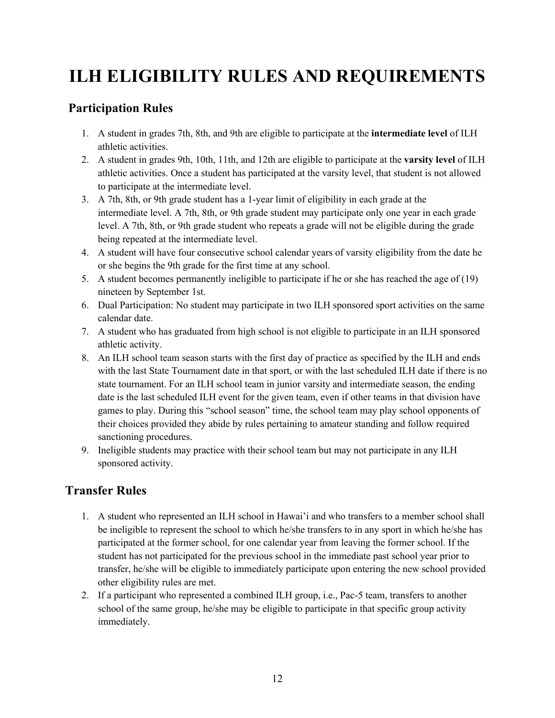## **ILH ELIGIBILITY RULES AND REQUIREMENTS**

### **Participation Rules**

- 1. A student in grades 7th, 8th, and 9th are eligible to participate at the **intermediate level** of ILH athletic activities.
- 2. A student in grades 9th, 10th, 11th, and 12th are eligible to participate at the **varsity level** of ILH athletic activities. Once a student has participated at the varsity level, that student is not allowed to participate at the intermediate level.
- 3. A 7th, 8th, or 9th grade student has a 1-year limit of eligibility in each grade at the intermediate level. A 7th, 8th, or 9th grade student may participate only one year in each grade level. A 7th, 8th, or 9th grade student who repeats a grade will not be eligible during the grade being repeated at the intermediate level.
- 4. A student will have four consecutive school calendar years of varsity eligibility from the date he or she begins the 9th grade for the first time at any school.
- 5. A student becomes permanently ineligible to participate if he or she has reached the age of (19) nineteen by September 1st.
- 6. Dual Participation: No student may participate in two ILH sponsored sport activities on the same calendar date.
- 7. A student who has graduated from high school is not eligible to participate in an ILH sponsored athletic activity.
- 8. An ILH school team season starts with the first day of practice as specified by the ILH and ends with the last State Tournament date in that sport, or with the last scheduled ILH date if there is no state tournament. For an ILH school team in junior varsity and intermediate season, the ending date is the last scheduled ILH event for the given team, even if other teams in that division have games to play. During this "school season" time, the school team may play school opponents of their choices provided they abide by rules pertaining to amateur standing and follow required sanctioning procedures.
- 9. Ineligible students may practice with their school team but may not participate in any ILH sponsored activity.

### **Transfer Rules**

- 1. A student who represented an ILH school in Hawai'i and who transfers to a member school shall be ineligible to represent the school to which he/she transfers to in any sport in which he/she has participated at the former school, for one calendar year from leaving the former school. If the student has not participated for the previous school in the immediate past school year prior to transfer, he/she will be eligible to immediately participate upon entering the new school provided other eligibility rules are met.
- 2. If a participant who represented a combined ILH group, i.e., Pac-5 team, transfers to another school of the same group, he/she may be eligible to participate in that specific group activity immediately.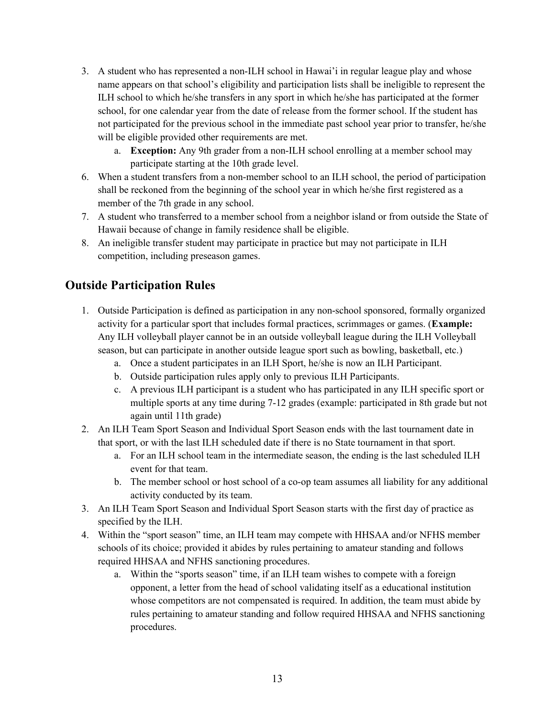- 3. A student who has represented a non-ILH school in Hawai'i in regular league play and whose name appears on that school's eligibility and participation lists shall be ineligible to represent the ILH school to which he/she transfers in any sport in which he/she has participated at the former school, for one calendar year from the date of release from the former school. If the student has not participated for the previous school in the immediate past school year prior to transfer, he/she will be eligible provided other requirements are met.
	- a. **Exception:** Any 9th grader from a non-ILH school enrolling at a member school may participate starting at the 10th grade level.
- 6. When a student transfers from a non-member school to an ILH school, the period of participation shall be reckoned from the beginning of the school year in which he/she first registered as a member of the 7th grade in any school.
- 7. A student who transferred to a member school from a neighbor island or from outside the State of Hawaii because of change in family residence shall be eligible.
- 8. An ineligible transfer student may participate in practice but may not participate in ILH competition, including preseason games.

### **Outside Participation Rules**

- 1. Outside Participation is defined as participation in any non-school sponsored, formally organized activity for a particular sport that includes formal practices, scrimmages or games. (**Example:** Any ILH volleyball player cannot be in an outside volleyball league during the ILH Volleyball season, but can participate in another outside league sport such as bowling, basketball, etc.)
	- a. Once a student participates in an ILH Sport, he/she is now an ILH Participant.
	- b. Outside participation rules apply only to previous ILH Participants.
	- c. A previous ILH participant is a student who has participated in any ILH specific sport or multiple sports at any time during 7-12 grades (example: participated in 8th grade but not again until 11th grade)
- 2. An ILH Team Sport Season and Individual Sport Season ends with the last tournament date in that sport, or with the last ILH scheduled date if there is no State tournament in that sport.
	- a. For an ILH school team in the intermediate season, the ending is the last scheduled ILH event for that team.
	- b. The member school or host school of a co-op team assumes all liability for any additional activity conducted by its team.
- 3. An ILH Team Sport Season and Individual Sport Season starts with the first day of practice as specified by the ILH.
- 4. Within the "sport season" time, an ILH team may compete with HHSAA and/or NFHS member schools of its choice; provided it abides by rules pertaining to amateur standing and follows required HHSAA and NFHS sanctioning procedures.
	- a. Within the "sports season" time, if an ILH team wishes to compete with a foreign opponent, a letter from the head of school validating itself as a educational institution whose competitors are not compensated is required. In addition, the team must abide by rules pertaining to amateur standing and follow required HHSAA and NFHS sanctioning procedures.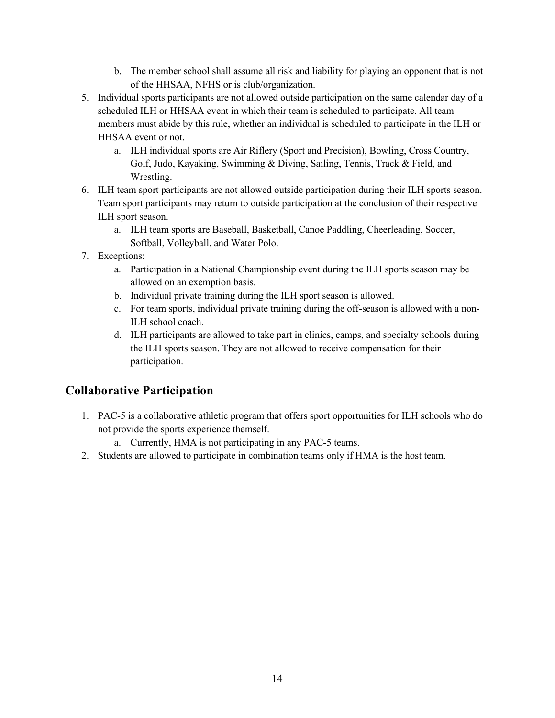- b. The member school shall assume all risk and liability for playing an opponent that is not of the HHSAA, NFHS or is club/organization.
- 5. Individual sports participants are not allowed outside participation on the same calendar day of a scheduled ILH or HHSAA event in which their team is scheduled to participate. All team members must abide by this rule, whether an individual is scheduled to participate in the ILH or HHSAA event or not.
	- a. ILH individual sports are Air Riflery (Sport and Precision), Bowling, Cross Country, Golf, Judo, Kayaking, Swimming & Diving, Sailing, Tennis, Track & Field, and Wrestling.
- 6. ILH team sport participants are not allowed outside participation during their ILH sports season. Team sport participants may return to outside participation at the conclusion of their respective ILH sport season.
	- a. ILH team sports are Baseball, Basketball, Canoe Paddling, Cheerleading, Soccer, Softball, Volleyball, and Water Polo.
- 7. Exceptions:
	- a. Participation in a National Championship event during the ILH sports season may be allowed on an exemption basis.
	- b. Individual private training during the ILH sport season is allowed.
	- c. For team sports, individual private training during the off-season is allowed with a non-ILH school coach.
	- d. ILH participants are allowed to take part in clinics, camps, and specialty schools during the ILH sports season. They are not allowed to receive compensation for their participation.

### **Collaborative Participation**

- 1. PAC-5 is a collaborative athletic program that offers sport opportunities for ILH schools who do not provide the sports experience themself.
	- a. Currently, HMA is not participating in any PAC-5 teams.
- 2. Students are allowed to participate in combination teams only if HMA is the host team.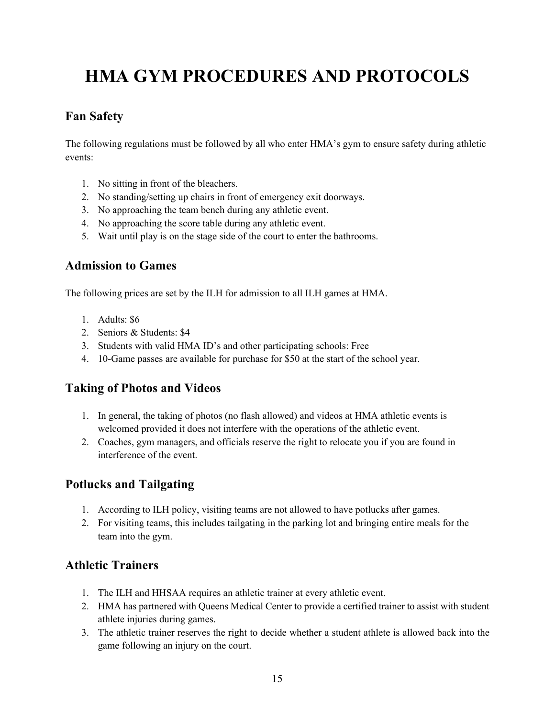# **HMA GYM PROCEDURES AND PROTOCOLS**

### **Fan Safety**

The following regulations must be followed by all who enter HMA's gym to ensure safety during athletic events:

- 1. No sitting in front of the bleachers.
- 2. No standing/setting up chairs in front of emergency exit doorways.
- 3. No approaching the team bench during any athletic event.
- 4. No approaching the score table during any athletic event.
- 5. Wait until play is on the stage side of the court to enter the bathrooms.

### **Admission to Games**

The following prices are set by the ILH for admission to all ILH games at HMA.

- 1. Adults: \$6
- 2. Seniors & Students: \$4
- 3. Students with valid HMA ID's and other participating schools: Free
- 4. 10-Game passes are available for purchase for \$50 at the start of the school year.

### **Taking of Photos and Videos**

- 1. In general, the taking of photos (no flash allowed) and videos at HMA athletic events is welcomed provided it does not interfere with the operations of the athletic event.
- 2. Coaches, gym managers, and officials reserve the right to relocate you if you are found in interference of the event.

### **Potlucks and Tailgating**

- 1. According to ILH policy, visiting teams are not allowed to have potlucks after games.
- 2. For visiting teams, this includes tailgating in the parking lot and bringing entire meals for the team into the gym.

### **Athletic Trainers**

- 1. The ILH and HHSAA requires an athletic trainer at every athletic event.
- 2. HMA has partnered with Queens Medical Center to provide a certified trainer to assist with student athlete injuries during games.
- 3. The athletic trainer reserves the right to decide whether a student athlete is allowed back into the game following an injury on the court.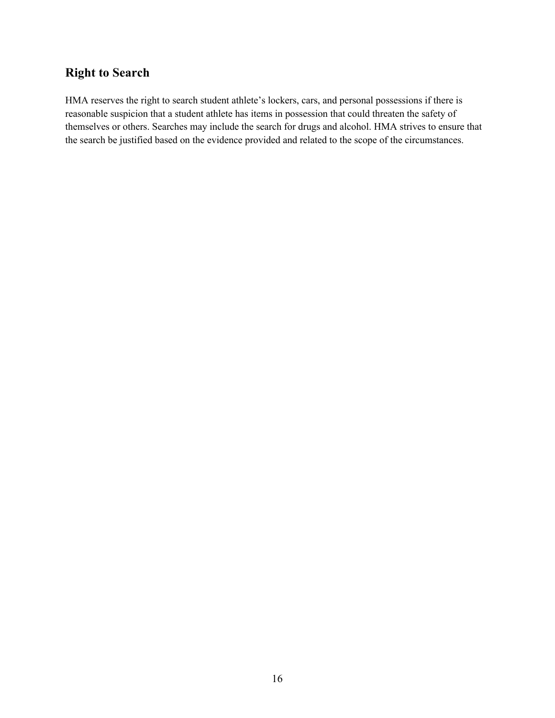### **Right to Search**

HMA reserves the right to search student athlete's lockers, cars, and personal possessions if there is reasonable suspicion that a student athlete has items in possession that could threaten the safety of themselves or others. Searches may include the search for drugs and alcohol. HMA strives to ensure that the search be justified based on the evidence provided and related to the scope of the circumstances.